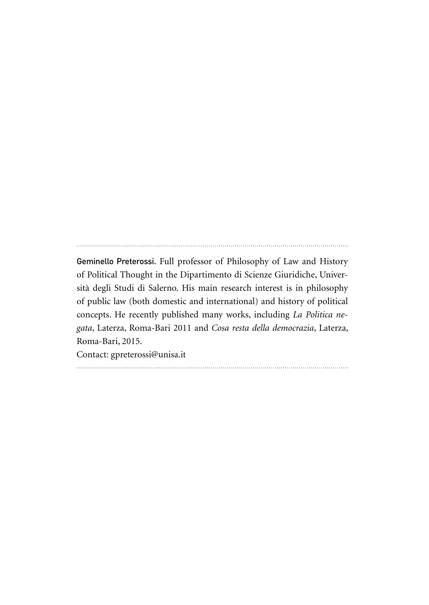Geminello Preterossi. Full professor of Philosophy of Law and History of Political Thought in the Dipartimento di Scienze Giuridiche, Università degli Studi di Salerno. His main research interest is in philosophy of public law (both domestic and international) and history of political concepts. He recently published many works, including *La Politica negata*, Laterza, Roma-Bari 2011 and *Cosa resta della democrazia*, Laterza, Roma-Bari, 2015.

Contact: gpreterossi@unisa.it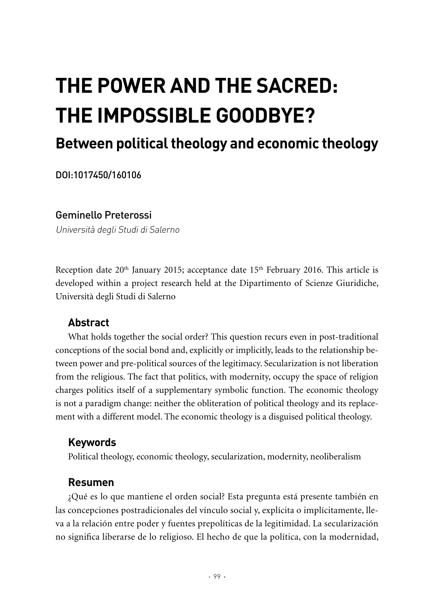# **The power and the sacred: the impossible goodbye?**

## **Between political theology and economic theology**

DOI:1017450/160106

#### Geminello Preterossi

Università degli Studi di Salerno

Reception date  $20<sup>th</sup>$  January 2015; acceptance date  $15<sup>th</sup>$  February 2016. This article is developed within a project research held at the Dipartimento of Scienze Giuridiche, Università degli Studi di Salerno

#### **Abstract**

What holds together the social order? This question recurs even in post-traditional conceptions of the social bond and, explicitly or implicitly, leads to the relationship between power and pre-political sources of the legitimacy. Secularization is not liberation from the religious. The fact that politics, with modernity, occupy the space of religion charges politics itself of a supplementary symbolic function. The economic theology is not a paradigm change: neither the obliteration of political theology and its replacement with a different model. The economic theology is a disguised political theology.

### **Keywords**

Political theology, economic theology, secularization, modernity, neoliberalism

#### **Resumen**

¿Qué es lo que mantiene el orden social? Esta pregunta está presente también en las concepciones postradicionales del vínculo social y, explícita o implícitamente, lleva a la relación entre poder y fuentes prepolíticas de la legitimidad. La secularización no significa liberarse de lo religioso. El hecho de que la política, con la modernidad,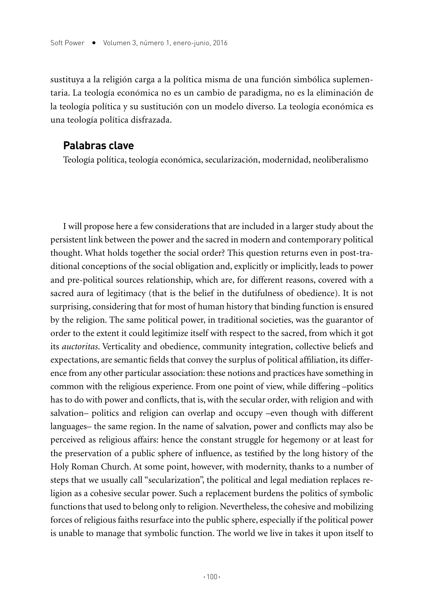sustituya a la religión carga a la política misma de una función simbólica suplementaria. La teología económica no es un cambio de paradigma, no es la eliminación de la teología política y su sustitución con un modelo diverso. La teología económica es una teología política disfrazada.

#### **Palabras clave**

Teología política, teología económica, secularización, modernidad, neoliberalismo

I will propose here a few considerations that are included in a larger study about the persistent link between the power and the sacred in modern and contemporary political thought. What holds together the social order? This question returns even in post-traditional conceptions of the social obligation and, explicitly or implicitly, leads to power and pre-political sources relationship, which are, for different reasons, covered with a sacred aura of legitimacy (that is the belief in the dutifulness of obedience). It is not surprising, considering that for most of human history that binding function is ensured by the religion. The same political power, in traditional societies, was the guarantor of order to the extent it could legitimize itself with respect to the sacred, from which it got its *auctoritas*. Verticality and obedience, community integration, collective beliefs and expectations, are semantic fields that convey the surplus of political affiliation, its difference from any other particular association: these notions and practices have something in common with the religious experience. From one point of view, while differing –politics has to do with power and conflicts, that is, with the secular order, with religion and with salvation– politics and religion can overlap and occupy –even though with different languages– the same region. In the name of salvation, power and conflicts may also be perceived as religious affairs: hence the constant struggle for hegemony or at least for the preservation of a public sphere of influence, as testified by the long history of the Holy Roman Church. At some point, however, with modernity, thanks to a number of steps that we usually call "secularization", the political and legal mediation replaces religion as a cohesive secular power. Such a replacement burdens the politics of symbolic functions that used to belong only to religion. Nevertheless, the cohesive and mobilizing forces of religious faiths resurface into the public sphere, especially if the political power is unable to manage that symbolic function. The world we live in takes it upon itself to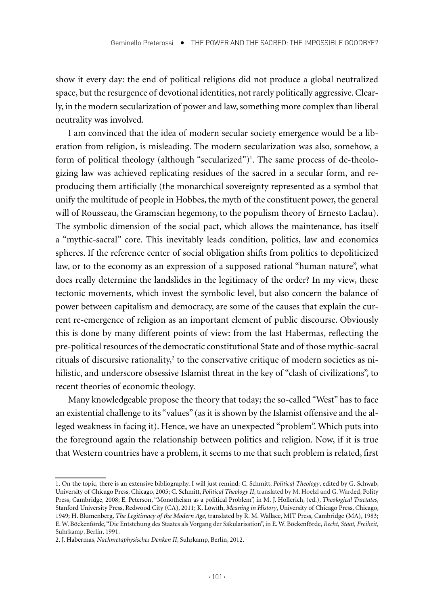show it every day: the end of political religions did not produce a global neutralized space, but the resurgence of devotional identities, not rarely politically aggressive. Clearly, in the modern secularization of power and law, something more complex than liberal neutrality was involved.

I am convinced that the idea of modern secular society emergence would be a liberation from religion, is misleading. The modern secularization was also, somehow, a form of political theology (although "secularized")1 . The same process of de-theologizing law was achieved replicating residues of the sacred in a secular form, and reproducing them artificially (the monarchical sovereignty represented as a symbol that unify the multitude of people in Hobbes, the myth of the constituent power, the general will of Rousseau, the Gramscian hegemony, to the populism theory of Ernesto Laclau). The symbolic dimension of the social pact, which allows the maintenance, has itself a "mythic-sacral" core. This inevitably leads condition, politics, law and economics spheres. If the reference center of social obligation shifts from politics to depoliticized law, or to the economy as an expression of a supposed rational "human nature", what does really determine the landslides in the legitimacy of the order? In my view, these tectonic movements, which invest the symbolic level, but also concern the balance of power between capitalism and democracy, are some of the causes that explain the current re-emergence of religion as an important element of public discourse. Obviously this is done by many different points of view: from the last Habermas, reflecting the pre-political resources of the democratic constitutional State and of those mythic-sacral rituals of discursive rationality, $^2$  to the conservative critique of modern societies as nihilistic, and underscore obsessive Islamist threat in the key of "clash of civilizations", to recent theories of economic theology.

Many knowledgeable propose the theory that today; the so-called "West" has to face an existential challenge to its "values" (as it is shown by the Islamist offensive and the alleged weakness in facing it). Hence, we have an unexpected "problem". Which puts into the foreground again the relationship between politics and religion. Now, if it is true that Western countries have a problem, it seems to me that such problem is related, first

<sup>1.</sup> On the topic, there is an extensive bibliography. I will just remind: C. Schmitt, *Political Theology*, edited by G. Schwab, University of Chicago Press, Chicago, 2005; C. Schmitt, *Political Theology II*, translated by M. Hoelzl and G. Warded, Polity Press, Cambridge, 2008; E. Peterson, "Monotheism as a political Problem", in M. J. Hollerich, (ed.), *Theological Tractates*, Stanford University Press, Redwood City (CA), 2011; K. Löwith, *Meaning in History*, University of Chicago Press, Chicago, 1949; H. Blumenberg, *The Legitimacy of the Modern Age*, translated by R. M. Wallace, MIT Press, Cambridge (MA), 1983; E. W. Böckenförde, "Die Entstehung des Staates als Vorgang der Säkularisation", in E. W. Böckenförde, *Recht, Staat, Freiheit*, Suhrkamp, Berlín, 1991.

<sup>2.</sup> J. Habermas, *Nachmetaphysisches Denken II*, Suhrkamp, Berlín, 2012.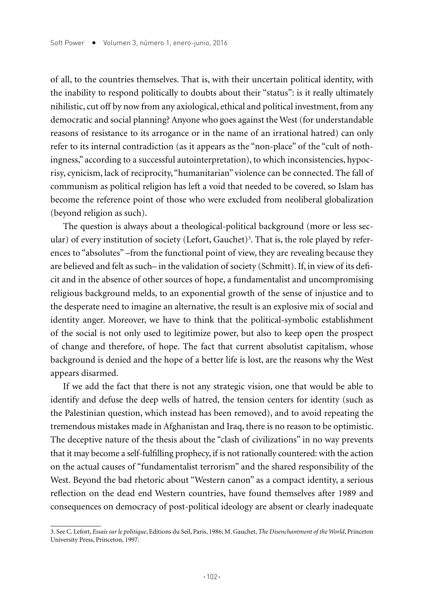of all, to the countries themselves. That is, with their uncertain political identity, with the inability to respond politically to doubts about their "status": is it really ultimately nihilistic, cut off by now from any axiological, ethical and political investment, from any democratic and social planning? Anyone who goes against the West (for understandable reasons of resistance to its arrogance or in the name of an irrational hatred) can only refer to its internal contradiction (as it appears as the "non-place" of the "cult of nothingness," according to a successful autointerpretation), to which inconsistencies, hypocrisy, cynicism, lack of reciprocity, "humanitarian" violence can be connected. The fall of communism as political religion has left a void that needed to be covered, so Islam has become the reference point of those who were excluded from neoliberal globalization (beyond religion as such).

The question is always about a theological-political background (more or less secular) of every institution of society (Lefort, Gauchet)<sup>3</sup>. That is, the role played by references to "absolutes" –from the functional point of view, they are revealing because they are believed and felt as such– in the validation of society (Schmitt). If, in view of its deficit and in the absence of other sources of hope, a fundamentalist and uncompromising religious background melds, to an exponential growth of the sense of injustice and to the desperate need to imagine an alternative, the result is an explosive mix of social and identity anger. Moreover, we have to think that the political-symbolic establishment of the social is not only used to legitimize power, but also to keep open the prospect of change and therefore, of hope. The fact that current absolutist capitalism, whose background is denied and the hope of a better life is lost, are the reasons why the West appears disarmed.

If we add the fact that there is not any strategic vision, one that would be able to identify and defuse the deep wells of hatred, the tension centers for identity (such as the Palestinian question, which instead has been removed), and to avoid repeating the tremendous mistakes made in Afghanistan and Iraq, there is no reason to be optimistic. The deceptive nature of the thesis about the "clash of civilizations" in no way prevents that it may become a self-fulfilling prophecy, if is not rationally countered: with the action on the actual causes of "fundamentalist terrorism" and the shared responsibility of the West. Beyond the bad rhetoric about "Western canon" as a compact identity, a serious reflection on the dead end Western countries, have found themselves after 1989 and consequences on democracy of post-political ideology are absent or clearly inadequate

<sup>3.</sup> See C. Lefort, *Essais sur le politique*, Editions du Seil, Paris, 1986; M. Gauchet, *The Disenchantment of the World*, Princeton University Press, Princeton, 1997.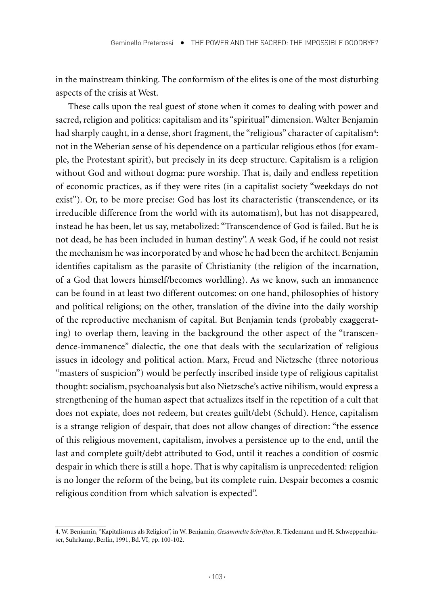in the mainstream thinking. The conformism of the elites is one of the most disturbing aspects of the crisis at West.

These calls upon the real guest of stone when it comes to dealing with power and sacred, religion and politics: capitalism and its "spiritual" dimension. Walter Benjamin had sharply caught, in a dense, short fragment, the "religious" character of capitalism<sup>4</sup>: not in the Weberian sense of his dependence on a particular religious ethos (for example, the Protestant spirit), but precisely in its deep structure. Capitalism is a religion without God and without dogma: pure worship. That is, daily and endless repetition of economic practices, as if they were rites (in a capitalist society "weekdays do not exist"). Or, to be more precise: God has lost its characteristic (transcendence, or its irreducible difference from the world with its automatism), but has not disappeared, instead he has been, let us say, metabolized: "Transcendence of God is failed. But he is not dead, he has been included in human destiny". A weak God, if he could not resist the mechanism he was incorporated by and whose he had been the architect. Benjamin identifies capitalism as the parasite of Christianity (the religion of the incarnation, of a God that lowers himself/becomes worldling). As we know, such an immanence can be found in at least two different outcomes: on one hand, philosophies of history and political religions; on the other, translation of the divine into the daily worship of the reproductive mechanism of capital. But Benjamin tends (probably exaggerating) to overlap them, leaving in the background the other aspect of the "transcendence-immanence" dialectic, the one that deals with the secularization of religious issues in ideology and political action. Marx, Freud and Nietzsche (three notorious "masters of suspicion") would be perfectly inscribed inside type of religious capitalist thought: socialism, psychoanalysis but also Nietzsche's active nihilism, would express a strengthening of the human aspect that actualizes itself in the repetition of a cult that does not expiate, does not redeem, but creates guilt/debt (Schuld). Hence, capitalism is a strange religion of despair, that does not allow changes of direction: "the essence of this religious movement, capitalism, involves a persistence up to the end, until the last and complete guilt/debt attributed to God, until it reaches a condition of cosmic despair in which there is still a hope. That is why capitalism is unprecedented: religion is no longer the reform of the being, but its complete ruin. Despair becomes a cosmic religious condition from which salvation is expected".

<sup>4.</sup> W. Benjamin, "Kapitalismus als Religion", in W. Benjamin, *Gesammelte Schriften*, R. Tiedemann und H. Schweppenhäuser, Suhrkamp, Berlín, 1991, Bd. VI, pp. 100-102.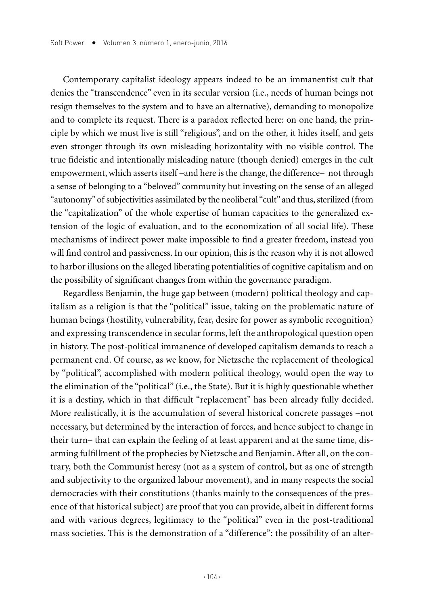Contemporary capitalist ideology appears indeed to be an immanentist cult that denies the "transcendence" even in its secular version (i.e., needs of human beings not resign themselves to the system and to have an alternative), demanding to monopolize and to complete its request. There is a paradox reflected here: on one hand, the principle by which we must live is still "religious", and on the other, it hides itself, and gets even stronger through its own misleading horizontality with no visible control. The true fideistic and intentionally misleading nature (though denied) emerges in the cult empowerment, which asserts itself –and here is the change, the difference– not through a sense of belonging to a "beloved" community but investing on the sense of an alleged "autonomy" of subjectivities assimilated by the neoliberal "cult" and thus, sterilized (from the "capitalization" of the whole expertise of human capacities to the generalized extension of the logic of evaluation, and to the economization of all social life). These mechanisms of indirect power make impossible to find a greater freedom, instead you will find control and passiveness. In our opinion, this is the reason why it is not allowed to harbor illusions on the alleged liberating potentialities of cognitive capitalism and on the possibility of significant changes from within the governance paradigm.

Regardless Benjamin, the huge gap between (modern) political theology and capitalism as a religion is that the "political" issue, taking on the problematic nature of human beings (hostility, vulnerability, fear, desire for power as symbolic recognition) and expressing transcendence in secular forms, left the anthropological question open in history. The post-political immanence of developed capitalism demands to reach a permanent end. Of course, as we know, for Nietzsche the replacement of theological by "political", accomplished with modern political theology, would open the way to the elimination of the "political" (i.e., the State). But it is highly questionable whether it is a destiny, which in that difficult "replacement" has been already fully decided. More realistically, it is the accumulation of several historical concrete passages –not necessary, but determined by the interaction of forces, and hence subject to change in their turn– that can explain the feeling of at least apparent and at the same time, disarming fulfillment of the prophecies by Nietzsche and Benjamin. After all, on the contrary, both the Communist heresy (not as a system of control, but as one of strength and subjectivity to the organized labour movement), and in many respects the social democracies with their constitutions (thanks mainly to the consequences of the presence of that historical subject) are proof that you can provide, albeit in different forms and with various degrees, legitimacy to the "political" even in the post-traditional mass societies. This is the demonstration of a "difference": the possibility of an alter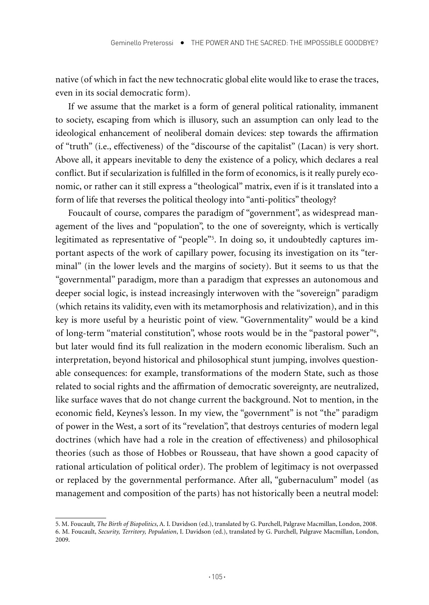native (of which in fact the new technocratic global elite would like to erase the traces, even in its social democratic form).

If we assume that the market is a form of general political rationality, immanent to society, escaping from which is illusory, such an assumption can only lead to the ideological enhancement of neoliberal domain devices: step towards the affirmation of "truth" (i.e., effectiveness) of the "discourse of the capitalist" (Lacan) is very short. Above all, it appears inevitable to deny the existence of a policy, which declares a real conflict. But if secularization is fulfilled in the form of economics, is it really purely economic, or rather can it still express a "theological" matrix, even if is it translated into a form of life that reverses the political theology into "anti-politics" theology?

Foucault of course, compares the paradigm of "government", as widespread management of the lives and "population", to the one of sovereignty, which is vertically legitimated as representative of "people"5 . In doing so, it undoubtedly captures important aspects of the work of capillary power, focusing its investigation on its "terminal" (in the lower levels and the margins of society). But it seems to us that the "governmental" paradigm, more than a paradigm that expresses an autonomous and deeper social logic, is instead increasingly interwoven with the "sovereign" paradigm (which retains its validity, even with its metamorphosis and relativization), and in this key is more useful by a heuristic point of view. "Governmentality" would be a kind of long-term "material constitution", whose roots would be in the "pastoral power"<sup>6</sup>, but later would find its full realization in the modern economic liberalism. Such an interpretation, beyond historical and philosophical stunt jumping, involves questionable consequences: for example, transformations of the modern State, such as those related to social rights and the affirmation of democratic sovereignty, are neutralized, like surface waves that do not change current the background. Not to mention, in the economic field, Keynes's lesson. In my view, the "government" is not "the" paradigm of power in the West, a sort of its "revelation", that destroys centuries of modern legal doctrines (which have had a role in the creation of effectiveness) and philosophical theories (such as those of Hobbes or Rousseau, that have shown a good capacity of rational articulation of political order). The problem of legitimacy is not overpassed or replaced by the governmental performance. After all, "gubernaculum" model (as management and composition of the parts) has not historically been a neutral model:

<sup>5.</sup> M. Foucault*, The Birth of Biopolitics*, A. I. Davidson (ed.), translated by G. Purchell, Palgrave Macmillan, London, 2008. 6. M. Foucault, *Security, Territory, Population*, I. Davidson (ed.), translated by G. Purchell, Palgrave Macmillan, London, 2009.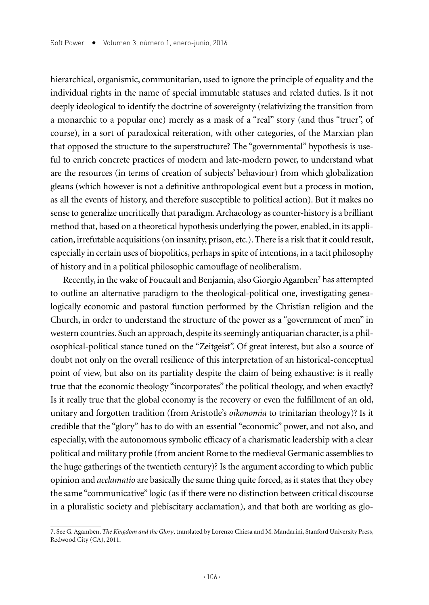hierarchical, organismic, communitarian, used to ignore the principle of equality and the individual rights in the name of special immutable statuses and related duties. Is it not deeply ideological to identify the doctrine of sovereignty (relativizing the transition from a monarchic to a popular one) merely as a mask of a "real" story (and thus "truer", of course), in a sort of paradoxical reiteration, with other categories, of the Marxian plan that opposed the structure to the superstructure? The "governmental" hypothesis is useful to enrich concrete practices of modern and late-modern power, to understand what are the resources (in terms of creation of subjects' behaviour) from which globalization gleans (which however is not a definitive anthropological event but a process in motion, as all the events of history, and therefore susceptible to political action). But it makes no sense to generalize uncritically that paradigm. Archaeology as counter-history is a brilliant method that, based on a theoretical hypothesis underlying the power, enabled, in its application, irrefutable acquisitions (on insanity, prison, etc.). There is a risk that it could result, especially in certain uses of biopolitics, perhaps in spite of intentions, in a tacit philosophy of history and in a political philosophic camouflage of neoliberalism.

Recently, in the wake of Foucault and Benjamin, also Giorgio Agamben<sup>7</sup> has attempted to outline an alternative paradigm to the theological-political one, investigating genealogically economic and pastoral function performed by the Christian religion and the Church, in order to understand the structure of the power as a "government of men" in western countries. Such an approach, despite its seemingly antiquarian character, is a philosophical-political stance tuned on the "Zeitgeist". Of great interest, but also a source of doubt not only on the overall resilience of this interpretation of an historical-conceptual point of view, but also on its partiality despite the claim of being exhaustive: is it really true that the economic theology "incorporates" the political theology, and when exactly? Is it really true that the global economy is the recovery or even the fulfillment of an old, unitary and forgotten tradition (from Aristotle's *oikonomia* to trinitarian theology)? Is it credible that the "glory" has to do with an essential "economic" power, and not also, and especially, with the autonomous symbolic efficacy of a charismatic leadership with a clear political and military profile (from ancient Rome to the medieval Germanic assemblies to the huge gatherings of the twentieth century)? Is the argument according to which public opinion and *acclamatio* are basically the same thing quite forced, as it states that they obey the same "communicative" logic (as if there were no distinction between critical discourse in a pluralistic society and plebiscitary acclamation), and that both are working as glo-

<sup>7.</sup> See G. Agamben, *The Kingdom and the Glory*, translated by Lorenzo Chiesa and M. Mandarini, Stanford University Press, Redwood City (CA), 2011.